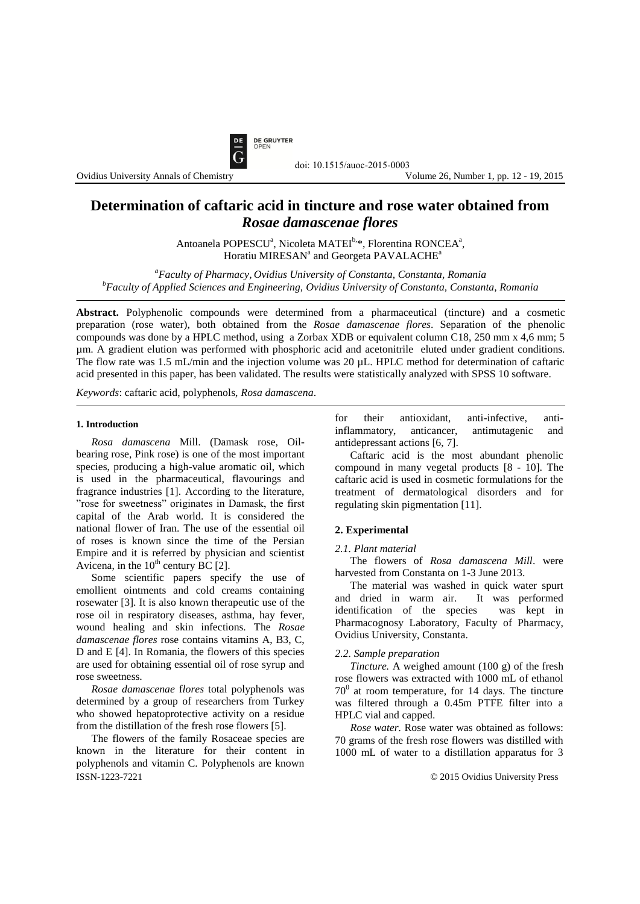

# **Determination of caftaric acid in tincture and rose water obtained from** *Rosae damascenae flores*

doi: 10.1515/auoc-2015-0003

Antoanela POPESCU<sup>a</sup>, Nicoleta MATEI<sup>b,\*</sup>, Florentina RONCEA<sup>a</sup>, Horatiu MIRESAN<sup>a</sup> and Georgeta PAVALACHE<sup>a</sup>

*<sup>a</sup>Faculty of Pharmacy, Ovidius University of Constanta, Constanta, Romania <sup>b</sup>Faculty of Applied Sciences and Engineering, Ovidius University of Constanta, Constanta, Romania*

**Abstract.** Polyphenolic compounds were determined from a pharmaceutical (tincture) and a cosmetic preparation (rose water), both obtained from the *Rosae damascenae flores*. Separation of the phenolic compounds was done by a HPLC method, using a Zorbax XDB or equivalent column C18, 250 mm x 4,6 mm; 5 µm. A gradient elution was performed with phosphoric acid and acetonitrile eluted under gradient conditions. The flow rate was 1.5 mL/min and the injection volume was 20 µL. HPLC method for determination of caftaric acid presented in this paper, has been validated. The results were statistically analyzed with SPSS 10 software.

*Keywords*: caftaric acid, polyphenols, *Rosa damascena*.

#### **1. Introduction**

*Rosa damascena* Mill. (Damask rose, Oilbearing rose, Pink rose) is one of the most important species, producing a high-value aromatic oil, which is used in the pharmaceutical, flavourings and fragrance industries [1]. According to the literature, "rose for sweetness" originates in Damask, the first capital of the Arab world. It is considered the national flower of Iran. The use of the essential oil of roses is known since the time of the Persian Empire and it is referred by physician and scientist Avicena, in the  $10^{th}$  century BC [2].

Some scientific papers specify the use of emollient ointments and cold creams containing rosewater [3]. It is also known therapeutic use of the rose oil in respiratory diseases, asthma, hay fever, wound healing and skin infections. The *Rosae damascenae flores* rose contains vitamins A, B3, C, D and E [4]. In Romania, the flowers of this species are used for obtaining essential oil of rose syrup and rose sweetness.

*Rosae damascenae* f*lores* total polyphenols was determined by a group of researchers from Turkey who showed hepatoprotective activity on a residue from the distillation of the fresh rose flowers [5].

ISSN-1223-7221 © 2015 Ovidius University Press The flowers of the family Rosaceae species are known in the literature for their content in polyphenols and vitamin C. Polyphenols are known

for their antioxidant, anti-infective, antiinflammatory, anticancer, antimutagenic and antidepressant actions [6, 7].

Caftaric acid is the most abundant phenolic compound in many vegetal products [8 - 10]. The caftaric acid is used in cosmetic formulations for the treatment of dermatological disorders and for regulating skin pigmentation [11].

## **2. Experimental**

#### *2.1. Plant material*

The flowers of *Rosa damascena Mill*. were harvested from Constanta on 1-3 June 2013.

The material was washed in quick water spurt and dried in warm air. It was performed identification of the species was kept in Pharmacognosy Laboratory, Faculty of Pharmacy, Ovidius University, Constanta.

## *2.2. Sample preparation*

*Tincture.* A weighed amount (100 g) of the fresh rose flowers was extracted with 1000 mL of ethanol  $70^0$  at room temperature, for 14 days. The tincture was filtered through a 0.45m PTFE filter into a HPLC vial and capped.

*Rose water.* Rose water was obtained as follows: 70 grams of the fresh rose flowers was distilled with 1000 mL of water to a distillation apparatus for 3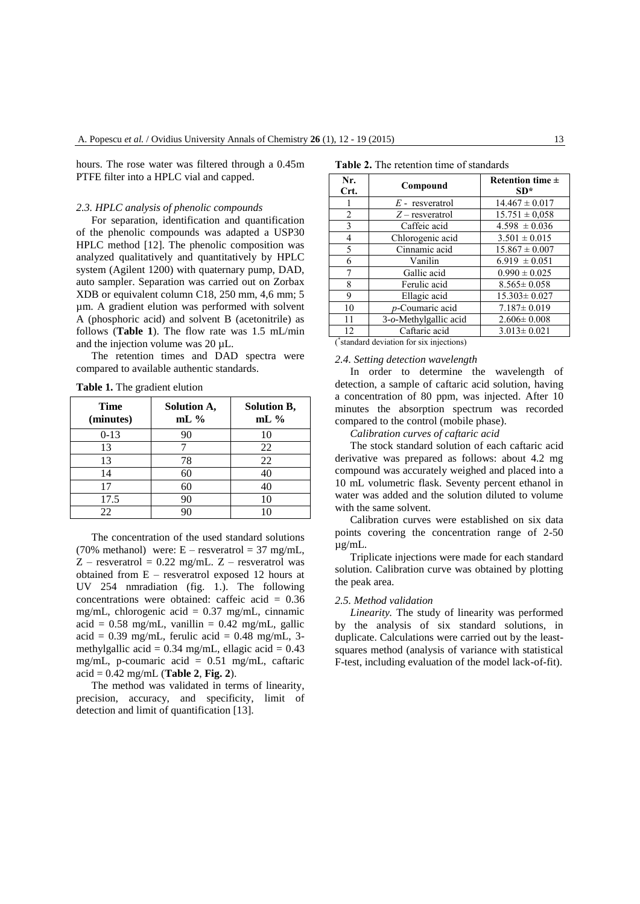hours. The rose water was filtered through a 0.45m PTFE filter into a HPLC vial and capped.

## *2.3. HPLC analysis of phenolic compounds*

For separation, identification and quantification of the phenolic compounds was adapted a USP30 HPLC method [12]. The phenolic composition was analyzed qualitatively and quantitatively by HPLC system (Agilent 1200) with quaternary pump, DAD, auto sampler. Separation was carried out on Zorbax XDB or equivalent column C18, 250 mm, 4,6 mm; 5 µm. A gradient elution was performed with solvent A (phosphoric acid) and solvent B (acetonitrile) as follows (**Table 1**). The flow rate was 1.5 mL/min and the injection volume was 20 µL.

The retention times and DAD spectra were compared to available authentic standards.

| <b>Time</b><br>(minutes) | Solution A,<br>$mL$ % | <b>Solution B,</b><br>$mL$ % |  |
|--------------------------|-----------------------|------------------------------|--|
| $0-13$                   | 90                    | 10                           |  |
| 13                       |                       | 22                           |  |
| 13                       | 78                    | 22                           |  |
| 14                       | 60                    | 40                           |  |
| 17                       | 60                    | 40                           |  |
| 17.5                     | 90                    | 10                           |  |
| 22                       |                       |                              |  |

**Table 1.** The gradient elution

The concentration of the used standard solutions (70% methanol) were:  $E -$  resveratrol = 37 mg/mL,  $Z$  – resveratrol = 0.22 mg/mL.  $Z$  – resveratrol was obtained from E – resveratrol exposed 12 hours at UV 254 nmradiation (fig. 1.). The following concentrations were obtained: caffeic acid = 0.36 mg/mL, chlorogenic acid = 0.37 mg/mL, cinnamic  $\text{acid} = 0.58 \text{ mg/mL}$ , vanillin = 0.42 mg/mL, gallic acid =  $0.39$  mg/mL, ferulic acid =  $0.48$  mg/mL, 3methylgallic acid =  $0.34$  mg/mL, ellagic acid =  $0.43$ mg/mL, p-coumaric acid = 0.51 mg/mL, caftaric acid = 0.42 mg/mL (**Table 2**, **Fig. 2**).

The method was validated in terms of linearity, precision, accuracy, and specificity, limit of detection and limit of quantification [13].

| Nr.<br>Crt.                            | Compound                     | Retention time $\pm$<br>$SD*$ |  |  |
|----------------------------------------|------------------------------|-------------------------------|--|--|
|                                        | $E$ - resveratrol            | $14.467 \pm 0.017$            |  |  |
| 2                                      | $Z$ – resveratrol            | $15.751 \pm 0.058$            |  |  |
| 3                                      | Caffeic acid                 | $4.598 \pm 0.036$             |  |  |
| $\overline{4}$                         | Chlorogenic acid             | $3.501 \pm 0.015$             |  |  |
| 5                                      | Cinnamic acid                | $15.867 \pm 0.007$            |  |  |
| 6                                      | Vanilin                      | $6.919 \pm 0.051$             |  |  |
| 7                                      | Gallic acid                  | $0.990 \pm 0.025$             |  |  |
| 8                                      | Ferulic acid                 | $8.565 \pm 0.058$             |  |  |
| 9                                      | Ellagic acid                 | $15.303 \pm 0.027$            |  |  |
| 10                                     | p-Coumaric acid              | $7.187 \pm 0.019$             |  |  |
| 11                                     | $3$ - $o$ -Methylgallic acid | $2.606 \pm 0.008$             |  |  |
| 12                                     | Caftaric acid                | $3.013 \pm 0.021$             |  |  |
| standard deviation for six injections) |                              |                               |  |  |

**Table 2.** The retention time of standards

## *2.4. Setting detection wavelength*

In order to determine the wavelength of detection, a sample of caftaric acid solution, having a concentration of 80 ppm, was injected. After 10 minutes the absorption spectrum was recorded compared to the control (mobile phase).

*Calibration curves of caftaric acid*

The stock standard solution of each caftaric acid derivative was prepared as follows: about 4.2 mg compound was accurately weighed and placed into a 10 mL volumetric flask. Seventy percent ethanol in water was added and the solution diluted to volume with the same solvent.

Calibration curves were established on six data points covering the concentration range of 2-50 µg/mL.

Triplicate injections were made for each standard solution. Calibration curve was obtained by plotting the peak area.

#### *2.5. Method validation*

*Linearity.* The study of linearity was performed by the analysis of six standard solutions, in duplicate. Calculations were carried out by the leastsquares method (analysis of variance with statistical F-test, including evaluation of the model lack-of-fit).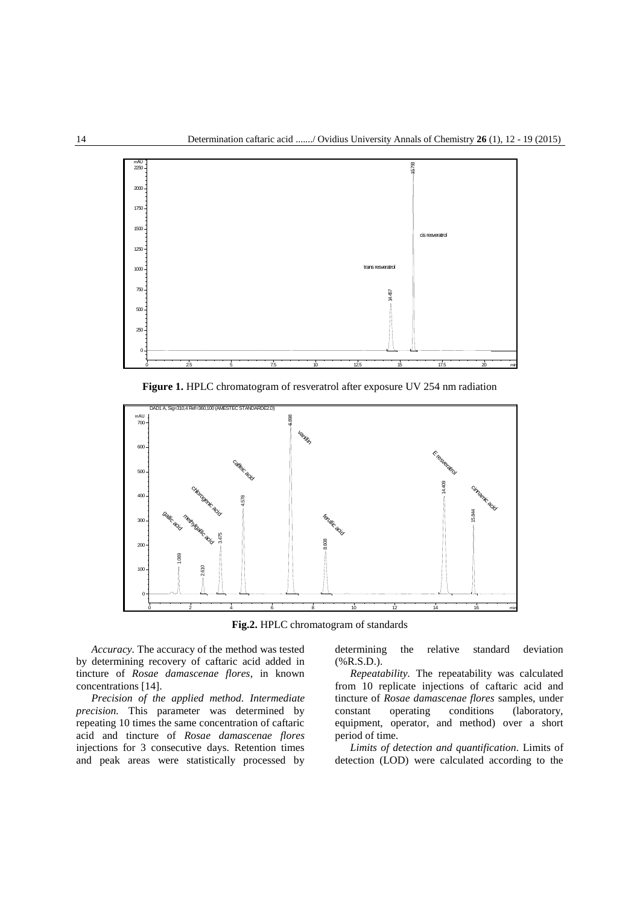

**Figure 1.** HPLC chromatogram of resveratrol after exposure UV 254 nm radiation



**Fig.2.** HPLC chromatogram of standards

*Accuracy.* The accuracy of the method was tested by determining recovery of caftaric acid added in tincture of *Rosae damascenae flores*, in known concentrations [14].

*Precision of the applied method. Intermediate precision.* This parameter was determined by repeating 10 times the same concentration of caftaric acid and tincture of *Rosae damascenae flores* injections for 3 consecutive days. Retention times and peak areas were statistically processed by determining the relative standard deviation (%R.S.D.).

*Repeatability.* The repeatability was calculated from 10 replicate injections of caftaric acid and tincture of *Rosae damascenae flores* samples, under constant operating conditions (laboratory, equipment, operator, and method) over a short period of time.

*Limits of detection and quantification.* Limits of detection (LOD) were calculated according to the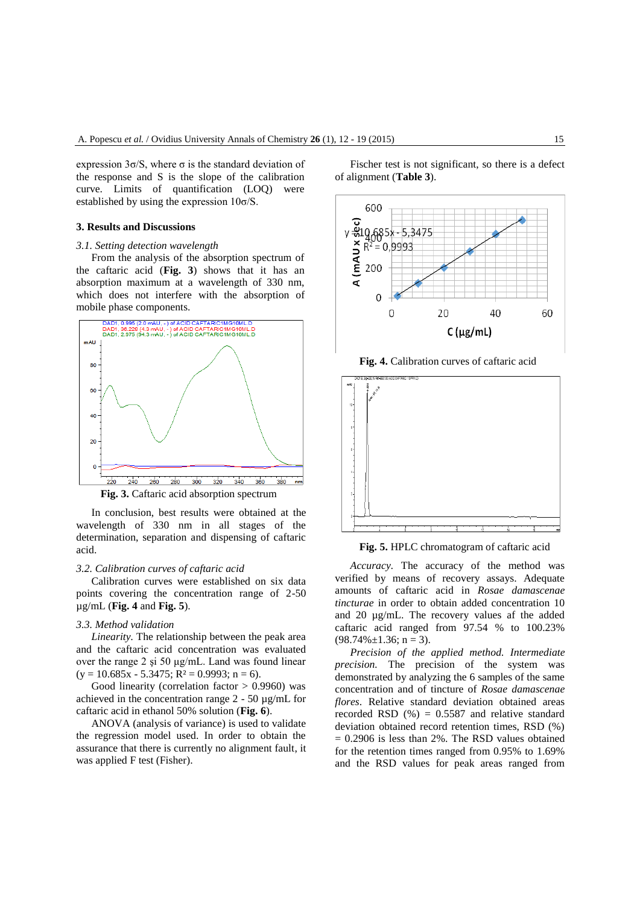expression  $3σ/S$ , where σ is the standard deviation of the response and S is the slope of the calibration curve. Limits of quantification (LOQ) were established by using the expression  $10\sigma/S$ .

### **3. Results and Discussions**

### *3.1. Setting detection wavelength*

From the analysis of the absorption spectrum of the caftaric acid (**Fig. 3**) shows that it has an absorption maximum at a wavelength of 330 nm, which does not interfere with the absorption of mobile phase components.



**Fig. 3.** Caftaric acid absorption spectrum

In conclusion, best results were obtained at the wavelength of 330 nm in all stages of the determination, separation and dispensing of caftaric acid.

### *3.2. Calibration curves of caftaric acid*

Calibration curves were established on six data points covering the concentration range of 2-50 µg/mL (**Fig. 4** and **Fig. 5**).

## *3.3. Method validation*

*Linearity.* The relationship between the peak area and the caftaric acid concentration was evaluated over the range 2 şi 50 μg/mL. Land was found linear  $(y = 10.685x - 5.3475; R^2 = 0.9993; n = 6)$ .

Good linearity (correlation factor  $> 0.9960$ ) was achieved in the concentration range 2 - 50 µg/mL for caftaric acid in ethanol 50% solution (**Fig. 6**).

ANOVA (analysis of variance) is used to validate the regression model used. In order to obtain the assurance that there is currently no alignment fault, it was applied F test (Fisher).

Fischer test is not significant, so there is a defect of alignment (**Table 3**).



**Fig. 4.** Calibration curves of caftaric acid



**Fig. 5.** HPLC chromatogram of caftaric acid

*Accuracy.* The accuracy of the method was verified by means of recovery assays. Adequate amounts of caftaric acid in *Rosae damascenae tincturae* in order to obtain added concentration 10 and 20 µg/mL. The recovery values af the added caftaric acid ranged from 97.54 % to 100.23%  $(98.74\% \pm 1.36; n = 3).$ 

*Precision of the applied method. Intermediate precision.* The precision of the system was demonstrated by analyzing the 6 samples of the same concentration and of tincture of *Rosae damascenae flores*. Relative standard deviation obtained areas recorded RSD  $(\%) = 0.5587$  and relative standard deviation obtained record retention times, RSD (%)  $= 0.2906$  is less than 2%. The RSD values obtained for the retention times ranged from 0.95% to 1.69% and the RSD values for peak areas ranged from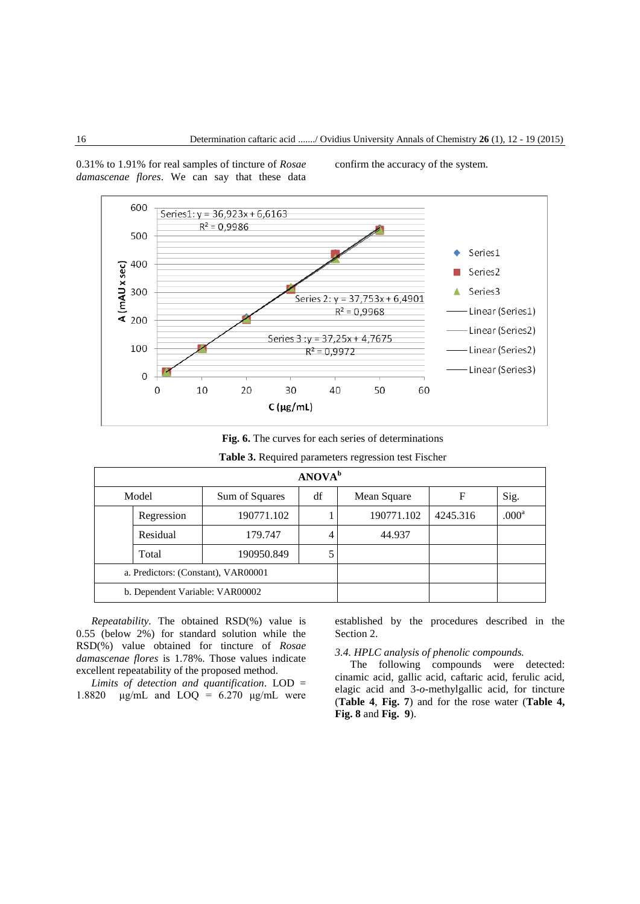confirm the accuracy of the system.



0.31% to 1.91% for real samples of tincture of *Rosae damascenae flores*. We can say that these data

**Fig. 6.** The curves for each series of determinations

| ANOVA <sup>b</sup>                  |            |                |    |             |          |                   |  |
|-------------------------------------|------------|----------------|----|-------------|----------|-------------------|--|
| Model                               |            | Sum of Squares | df | Mean Square | F        | Sig.              |  |
|                                     | Regression | 190771.102     |    | 190771.102  | 4245.316 | .000 <sup>a</sup> |  |
|                                     | Residual   | 179.747        | 4  | 44.937      |          |                   |  |
|                                     | Total      | 190950.849     |    |             |          |                   |  |
| a. Predictors: (Constant), VAR00001 |            |                |    |             |          |                   |  |
| b. Dependent Variable: VAR00002     |            |                |    |             |          |                   |  |

|  | Table 3. Required parameters regression test Fischer |  |  |
|--|------------------------------------------------------|--|--|
|--|------------------------------------------------------|--|--|

*Repeatability.* The obtained RSD(%) value is 0.55 (below 2%) for standard solution while the RSD(%) value obtained for tincture of *Rosae damascenae flores* is 1.78%. Those values indicate excellent repeatability of the proposed method.

*Limits of detection and quantification.* LOD = 1.8820  $\mu$ g/mL and LOQ = 6.270  $\mu$ g/mL were established by the procedures described in the Section 2.

## *3.4. HPLC analysis of phenolic compounds.*

The following compounds were detected: cinamic acid, gallic acid, caftaric acid, ferulic acid, elagic acid and 3-*o*-methylgallic acid, for tincture (**Table 4**, **Fig. 7**) and for the rose water (**Table 4, Fig. 8** and **Fig. 9**).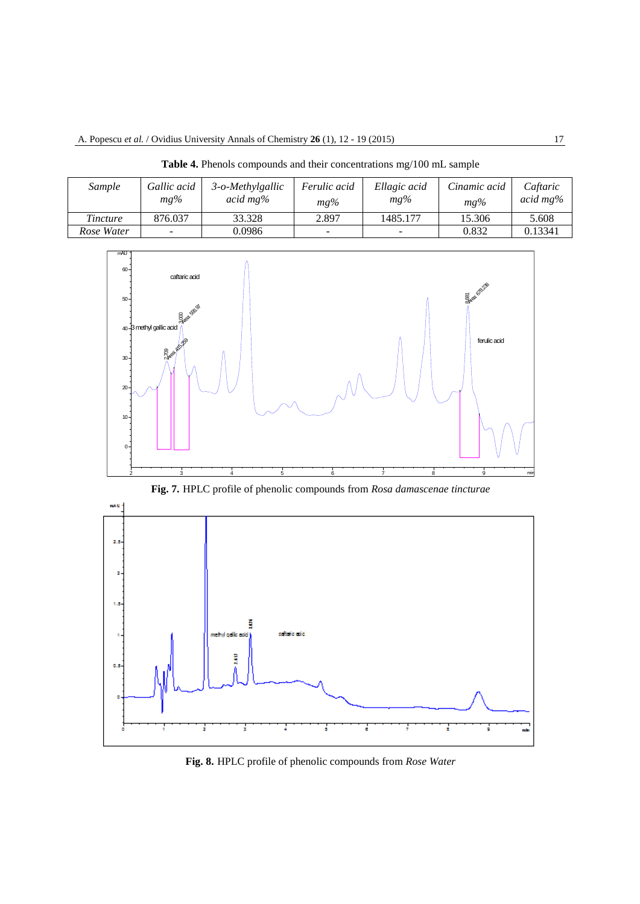| Sample          | Gallic acid<br>$mg\%$ | 3-o-Methylgallic<br>acid $mg\%$ | <i>Ferulic acid</i><br>$mg\%$ | Ellagic acid<br>$mg\%$ | Cinamic acid<br>$mg\%$ | Caftaric<br>acid mg $\%$ |
|-----------------|-----------------------|---------------------------------|-------------------------------|------------------------|------------------------|--------------------------|
| <b>Tincture</b> | 876.037               | 33.328                          | 2.897                         | 1485.177               | 15.306                 | 5.608                    |
| Rose Water      |                       | 0.0986                          | $\overline{\phantom{0}}$      |                        | 0.832                  | 0.13341                  |

**Table 4.** Phenols compounds and their concentrations mg/100 mL sample







**Fig. 8.** HPLC profile of phenolic compounds from *Rose Water*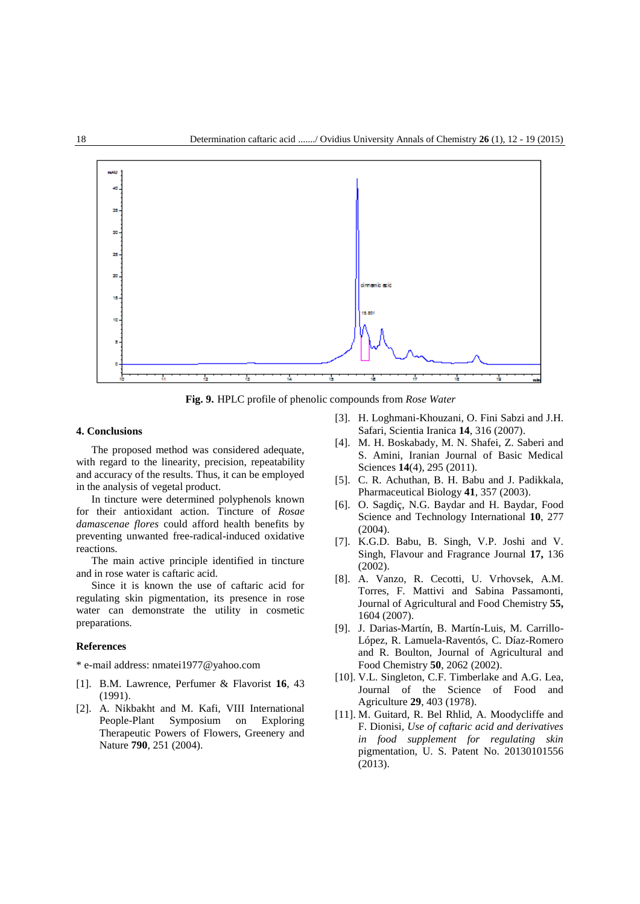

**Fig. 9.** HPLC profile of phenolic compounds from *Rose Water*

## **4. Conclusions**

The proposed method was considered adequate, with regard to the linearity, precision, repeatability and accuracy of the results. Thus, it can be employed in the analysis of vegetal product.

In tincture were determined polyphenols known for their antioxidant action. Tincture of *Rosae damascenae flores* could afford health benefits by preventing unwanted free-radical-induced oxidative reactions.

The main active principle identified in tincture and in rose water is caftaric acid.

Since it is known the use of caftaric acid for regulating skin pigmentation, its presence in rose water can demonstrate the utility in cosmetic preparations.

### **References**

\* e-mail address: nmatei1977@yahoo.com

- [1]. B.M. Lawrence, Perfumer & Flavorist **16**, 43 (1991).
- [2]. A. Nikbakht and M. Kafi, VIII International People-Plant Symposium on Exploring Therapeutic Powers of Flowers, Greenery and Nature **790**, 251 (2004).
- [3]. H. Loghmani-Khouzani, O. Fini Sabzi and J.H. Safari, Scientia Iranica **14**, 316 (2007).
- [4]. M. H. Boskabady, M. N. Shafei, Z. Saberi and S. Amini, Iranian Journal of Basic Medical Sciences **14**(4), 295 (2011).
- [5]. C. R. Achuthan, B. H. Babu and J. Padikkala, Pharmaceutical Biology **41**, 357 (2003).
- [6]. O. Sagdiç, N.G. Baydar and H. Baydar, Food Science and Technology International **10**, 277 (2004).
- [7]. K.G.D. Babu, B. Singh, V.P. Joshi and V. Singh, Flavour and Fragrance Journal **17,** 136 (2002).
- [8]. A. Vanzo, R. Cecotti, U. Vrhovsek, A.M. Torres, F. Mattivi and Sabina Passamonti, Journal of Agricultural and Food Chemistry **55,** 1604 (2007).
- [9]. J. Darias-Martín, B. Martín-Luis, M. Carrillo-López, R. Lamuela-Raventós, C. Díaz-Romero and R. Boulton, Journal of Agricultural and Food Chemistry **50**, 2062 (2002).
- [10]. V.L. Singleton, C.F. Timberlake and A.G. Lea, Journal of the Science of Food and Agriculture **29**, 403 (1978).
- [11]. M. Guitard, R. Bel Rhlid, A. Moodycliffe and F. Dionisi, *Use of caftaric acid and derivatives in food supplement for regulating skin*  pigmentation, U. S. Patent No. 20130101556 (2013).